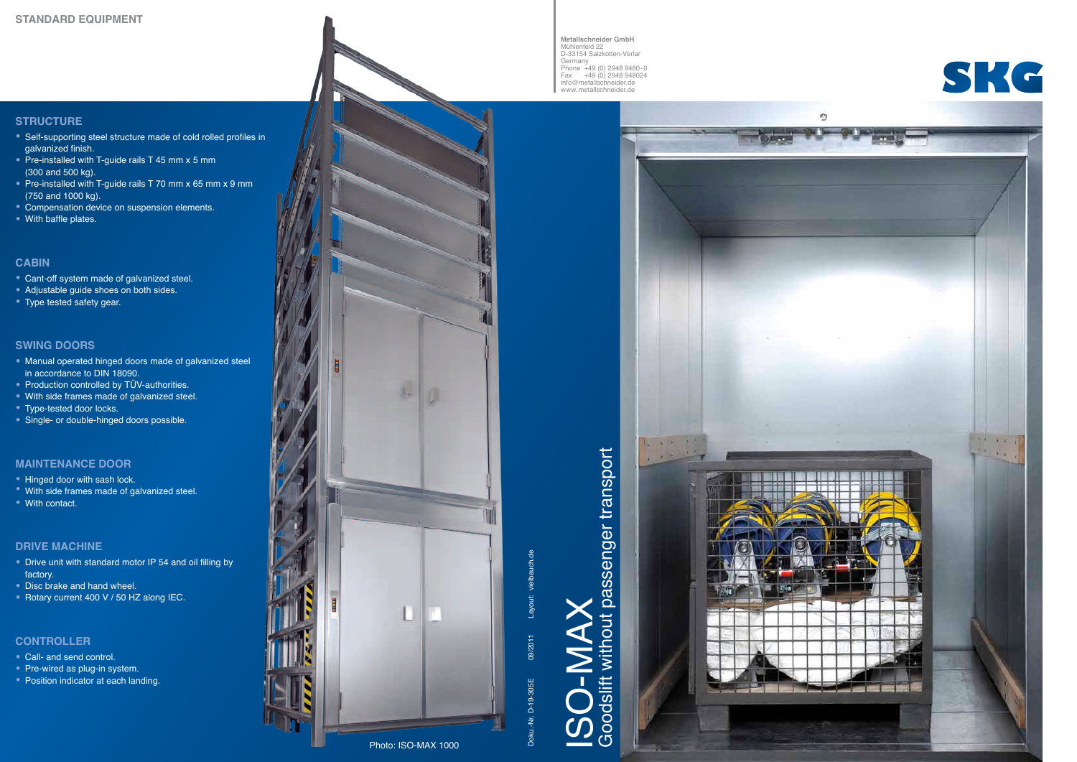Doku.-Nr. D-19-305E Layout: vielbauch.de 09/2011

09/2011

D-19-305E

 $\approx$ 

ISO-MAX

### **STRUCTURE**

- Self-supporting steel structure made of cold rolled profiles in galvanized finish.
- Pre-installed with T-guide rails T 45 mm x 5 mm (300 and 500 kg).
- Pre-installed with T-guide rails T 70 mm x 65 mm x 9 mm (750 and 1000 kg).
- Compensation device on suspension elements. With baffle plates.
- 

- Manual operated hinged doors made of galvanized steel in accordance to DIN 18090.<br>• Production controlled by TÜV-authorities.
- 
- With side frames made of galvanized steel.<br>• Type-tested door locks.<br>• Single- or double-hinged doors possible.
- 
- 

### **CABIN**

- Cant-off system made of galvanized steel.<br>• Adjustable guide shoes on both sides.<br>• Type tested safety gear.
- 
- 

### **SWING DOORS**

### **MAINTENANCE DOOR**

- 
- Hinged door with sash lock.<br>• With side frames made of galvanized steel.<br>• With contact.
- 

### **DRIVE MACHINE**

- Drive unit with standard motor IP 54 and oil filling by factory.
- 
- Disc brake and hand wheel. Rotary current 400 V / 50 HZ along IEC.

### **CONTROLLER**

- 
- 
- Call- and send control. Pre-wired as plug-in system. Position indicator at each landing.



Goodslift without passenger transport

Goodslift without

passenger transport



**Metallschneider GmbH** Mühlenfeld 22 D-33154 Salzkotten-Verlar Germany Phone +49 (0) 2948 9480-0 Fax +49 (0) 2948 948024 info@metallschneider.de www.metallschneider.de